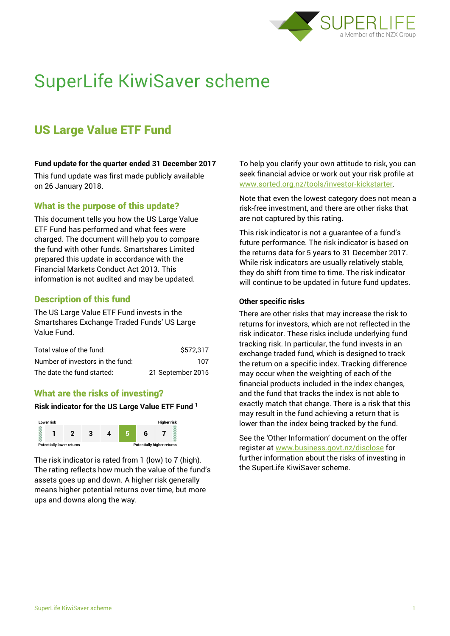

# SuperLife KiwiSaver scheme

# US Large Value ETF Fund

### **Fund update for the quarter ended 31 December 2017**

This fund update was first made publicly available on 26 January 2018.

# What is the purpose of this update?

This document tells you how the US Large Value ETF Fund has performed and what fees were charged. The document will help you to compare the fund with other funds. Smartshares Limited prepared this update in accordance with the Financial Markets Conduct Act 2013. This information is not audited and may be updated.

# Description of this fund

The US Large Value ETF Fund invests in the Smartshares Exchange Traded Funds' US Large Value Fund.

| Total value of the fund:         | \$572.317         |
|----------------------------------|-------------------|
| Number of investors in the fund: | 107               |
| The date the fund started:       | 21 September 2015 |

# What are the risks of investing?

#### **Risk indicator for the US Large Value ETF Fund <sup>1</sup>**



The risk indicator is rated from 1 (low) to 7 (high). The rating reflects how much the value of the fund's assets goes up and down. A higher risk generally means higher potential returns over time, but more ups and downs along the way.

To help you clarify your own attitude to risk, you can seek financial advice or work out your risk profile at [www.sorted.org.nz/tools/investor-kickstarter.](http://www.sorted.org.nz/tools/investor-kickstarter)

Note that even the lowest category does not mean a risk-free investment, and there are other risks that are not captured by this rating.

This risk indicator is not a guarantee of a fund's future performance. The risk indicator is based on the returns data for 5 years to 31 December 2017. While risk indicators are usually relatively stable, they do shift from time to time. The risk indicator will continue to be updated in future fund updates.

#### **Other specific risks**

There are other risks that may increase the risk to returns for investors, which are not reflected in the risk indicator. These risks include underlying fund tracking risk. In particular, the fund invests in an exchange traded fund, which is designed to track the return on a specific index. Tracking difference may occur when the weighting of each of the financial products included in the index changes, and the fund that tracks the index is not able to exactly match that change. There is a risk that this may result in the fund achieving a return that is lower than the index being tracked by the fund.

See the 'Other Information' document on the offer register at www.business.govt.nz/disclose for further information about the risks of investing in the SuperLife KiwiSaver scheme.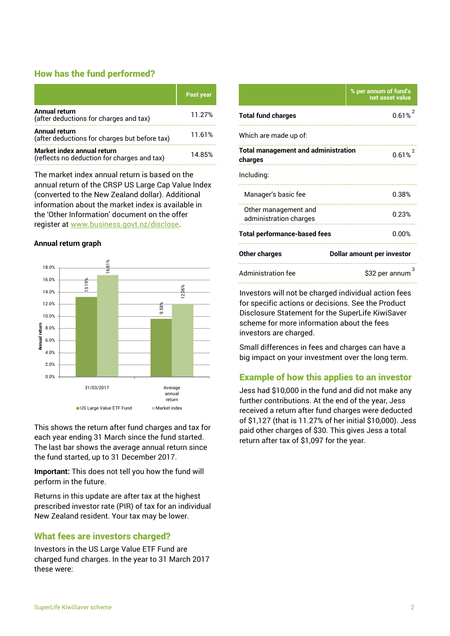# How has the fund performed?

|                                                                           | <b>Past year</b> |
|---------------------------------------------------------------------------|------------------|
| <b>Annual return</b><br>(after deductions for charges and tax)            | 11.27%           |
| Annual return<br>(after deductions for charges but before tax)            | 11.61%           |
| Market index annual return<br>(reflects no deduction for charges and tax) | 14.85%           |

The market index annual return is based on the annual return of the CRSP US Large Cap Value Index (converted to the New Zealand dollar). Additional information about the market index is available in the 'Other Information' document on the offer register at www.business.govt.nz/disclose.

### **Annual return graph**



This shows the return after fund charges and tax for each year ending 31 March since the fund started. The last bar shows the average annual return since the fund started, up to 31 December 2017.

**Important:** This does not tell you how the fund will perform in the future.

Returns in this update are after tax at the highest prescribed investor rate (PIR) of tax for an individual New Zealand resident. Your tax may be lower.

# What fees are investors charged?

Investors in the US Large Value ETF Fund are charged fund charges. In the year to 31 March 2017 these were:

|                                                       | % per annum of fund's<br>net asset value |  |
|-------------------------------------------------------|------------------------------------------|--|
| <b>Total fund charges</b>                             | 0.61%                                    |  |
| Which are made up of:                                 |                                          |  |
| <b>Total management and administration</b><br>charges | $0.61%^{2}$                              |  |
| Including:                                            |                                          |  |
| Manager's basic fee                                   | 0.38%                                    |  |
| Other management and<br>administration charges        | 0.23%                                    |  |
| <b>Total performance-based fees</b>                   | $0.00\%$                                 |  |
| <b>Other charges</b>                                  | <b>Dollar amount per investor</b>        |  |
| <b>Administration fee</b>                             | \$32 per annum                           |  |

Investors will not be charged individual action fees for specific actions or decisions. See the Product Disclosure Statement for the SuperLife KiwiSaver scheme for more information about the fees investors are charged.

Small differences in fees and charges can have a big impact on your investment over the long term.

# Example of how this applies to an investor

Jess had \$10,000 in the fund and did not make any further contributions. At the end of the year, Jess received a return after fund charges were deducted of \$1,127 (that is 11.27% of her initial \$10,000). Jess paid other charges of \$30. This gives Jess a total return after tax of \$1,097 for the year.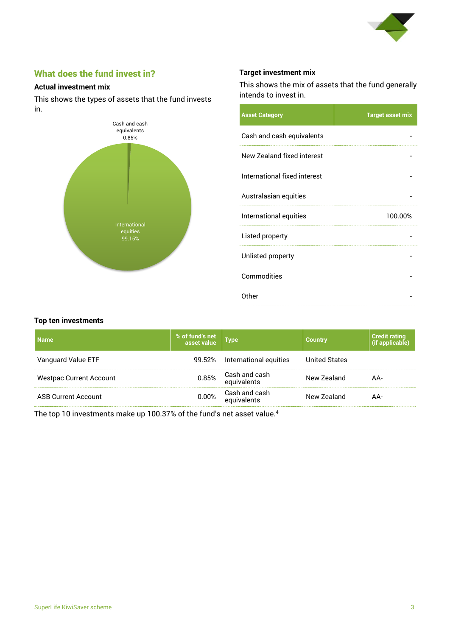

# What does the fund invest in?

### **Actual investment mix**

This shows the types of assets that the fund invests in.



# **Target investment mix**

This shows the mix of assets that the fund generally intends to invest in.

| <b>Asset Category</b>        | <b>Target asset mix</b> |
|------------------------------|-------------------------|
| Cash and cash equivalents    |                         |
| New Zealand fixed interest   |                         |
| International fixed interest |                         |
| Australasian equities        |                         |
| International equities       | 100.00%                 |
| Listed property              |                         |
| Unlisted property            |                         |
| Commodities                  |                         |
| Other                        |                         |

#### **Top ten investments**

| <b>Name</b>                    | % of fund's net<br>asset value | Type                               | <b>Country</b>       | <b>Credit rating</b><br>(if applicable) |
|--------------------------------|--------------------------------|------------------------------------|----------------------|-----------------------------------------|
| Vanguard Value ETF             | 99.52%                         | International equities             | <b>United States</b> |                                         |
| <b>Westpac Current Account</b> |                                | 0.85% Cash and cash<br>equivalents | New Zealand          | AA-                                     |
| <b>ASB Current Account</b>     | $0.00\%$                       | Cash and cash<br>equivalents       | New Zealand          | AA-                                     |

The top 10 investments make up 100.37% of the fund's net asset value.<sup>4</sup>